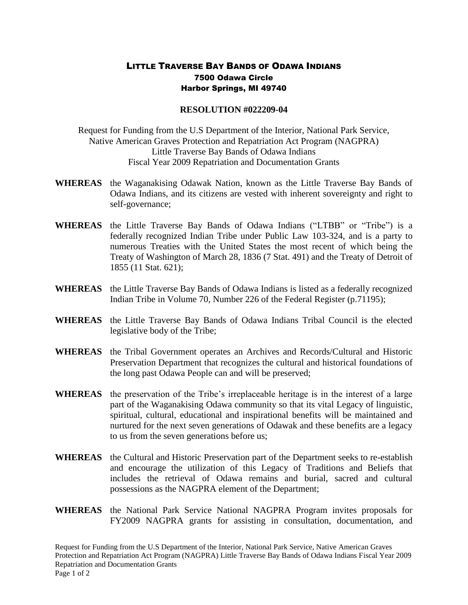## LITTLE TRAVERSE BAY BANDS OF ODAWA INDIANS 7500 Odawa Circle Harbor Springs, MI 49740

## **RESOLUTION #022209-04**

Request for Funding from the U.S Department of the Interior, National Park Service, Native American Graves Protection and Repatriation Act Program (NAGPRA) Little Traverse Bay Bands of Odawa Indians Fiscal Year 2009 Repatriation and Documentation Grants

- **WHEREAS** the Waganakising Odawak Nation, known as the Little Traverse Bay Bands of Odawa Indians, and its citizens are vested with inherent sovereignty and right to self-governance;
- **WHEREAS** the Little Traverse Bay Bands of Odawa Indians ("LTBB" or "Tribe") is a federally recognized Indian Tribe under Public Law 103-324, and is a party to numerous Treaties with the United States the most recent of which being the Treaty of Washington of March 28, 1836 (7 Stat. 491) and the Treaty of Detroit of 1855 (11 Stat. 621);
- **WHEREAS** the Little Traverse Bay Bands of Odawa Indians is listed as a federally recognized Indian Tribe in Volume 70, Number 226 of the Federal Register (p.71195);
- **WHEREAS** the Little Traverse Bay Bands of Odawa Indians Tribal Council is the elected legislative body of the Tribe;
- **WHEREAS** the Tribal Government operates an Archives and Records/Cultural and Historic Preservation Department that recognizes the cultural and historical foundations of the long past Odawa People can and will be preserved;
- **WHEREAS** the preservation of the Tribe's irreplaceable heritage is in the interest of a large part of the Waganakising Odawa community so that its vital Legacy of linguistic, spiritual, cultural, educational and inspirational benefits will be maintained and nurtured for the next seven generations of Odawak and these benefits are a legacy to us from the seven generations before us;
- **WHEREAS** the Cultural and Historic Preservation part of the Department seeks to re-establish and encourage the utilization of this Legacy of Traditions and Beliefs that includes the retrieval of Odawa remains and burial, sacred and cultural possessions as the NAGPRA element of the Department;
- **WHEREAS** the National Park Service National NAGPRA Program invites proposals for FY2009 NAGPRA grants for assisting in consultation, documentation, and

Request for Funding from the U.S Department of the Interior, National Park Service, Native American Graves Protection and Repatriation Act Program (NAGPRA) Little Traverse Bay Bands of Odawa Indians Fiscal Year 2009 Repatriation and Documentation Grants